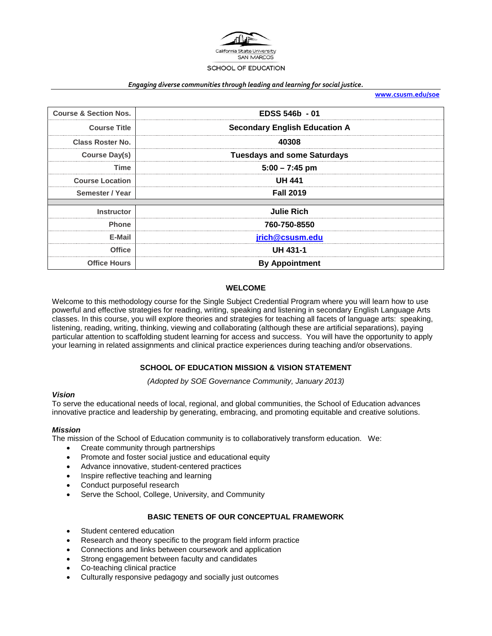

#### *Engaging diverse communities through leading and learning for social justice.*

**[www.csusm.edu/soe](http://www.csusm.edu/soe)**

| <b>Course &amp; Section Nos.</b> | EDSS 546b - 01                       |  |
|----------------------------------|--------------------------------------|--|
| <b>Course Title</b>              | <b>Secondary English Education A</b> |  |
| Class Roster No.                 | 40308                                |  |
| Course Day(s)                    | <b>Tuesdays and some Saturdays</b>   |  |
| Time                             | $5:00 - 7:45$ pm                     |  |
| <b>Course Location</b>           | <b>UH 441</b>                        |  |
| Semester / Year                  | <b>Fall 2019</b>                     |  |
| <b>Instructor</b>                | <b>Julie Rich</b>                    |  |
| <b>Phone</b>                     | 760-750-8550                         |  |
| E-Mail                           | jrich@csusm.edu                      |  |
| <b>Office</b>                    | <b>UH 431-1</b>                      |  |
| <b>Office Hours</b>              | <b>By Appointment</b>                |  |

#### **WELCOME**

Welcome to this methodology course for the Single Subject Credential Program where you will learn how to use powerful and effective strategies for reading, writing, speaking and listening in secondary English Language Arts classes. In this course, you will explore theories and strategies for teaching all facets of language arts: speaking, listening, reading, writing, thinking, viewing and collaborating (although these are artificial separations), paying particular attention to scaffolding student learning for access and success. You will have the opportunity to apply your learning in related assignments and clinical practice experiences during teaching and/or observations.

#### **SCHOOL OF EDUCATION MISSION & VISION STATEMENT**

*(Adopted by SOE Governance Community, January 2013)*

#### *Vision*

To serve the educational needs of local, regional, and global communities, the School of Education advances innovative practice and leadership by generating, embracing, and promoting equitable and creative solutions.

#### *Mission*

The mission of the School of Education community is to collaboratively transform education. We:

- Create community through partnerships
- Promote and foster social justice and educational equity
- Advance innovative, student-centered practices
- Inspire reflective teaching and learning
- Conduct purposeful research
- Serve the School, College, University, and Community

#### **BASIC TENETS OF OUR CONCEPTUAL FRAMEWORK**

- Student centered education
- Research and theory specific to the program field inform practice
- Connections and links between coursework and application
- Strong engagement between faculty and candidates
- Co-teaching clinical practice
- Culturally responsive pedagogy and socially just outcomes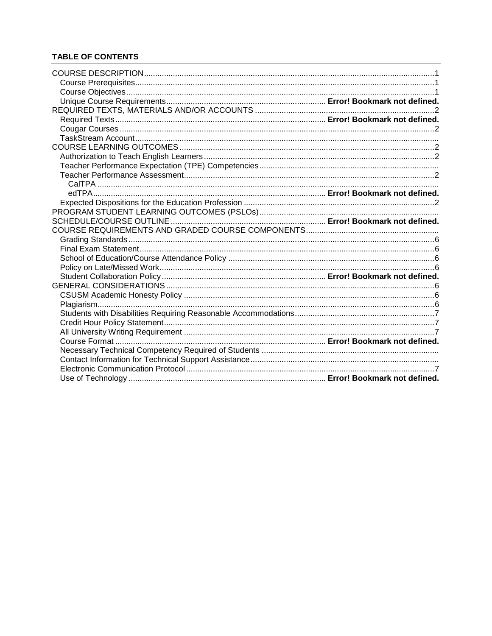# **TABLE OF CONTENTS**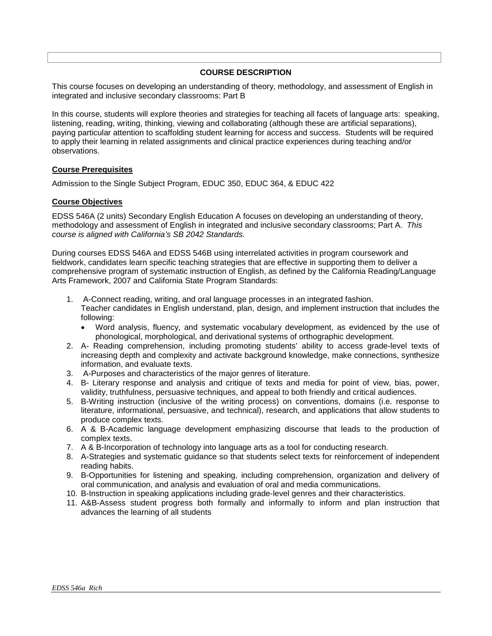## **COURSE DESCRIPTION**

<span id="page-2-0"></span>This course focuses on developing an understanding of theory, methodology, and assessment of English in integrated and inclusive secondary classrooms: Part B

In this course, students will explore theories and strategies for teaching all facets of language arts: speaking, listening, reading, writing, thinking, viewing and collaborating (although these are artificial separations), paying particular attention to scaffolding student learning for access and success. Students will be required to apply their learning in related assignments and clinical practice experiences during teaching and/or observations.

## <span id="page-2-1"></span>**Course Prerequisites**

Admission to the Single Subject Program, EDUC 350, EDUC 364, & EDUC 422

## <span id="page-2-2"></span>**Course Objectives**

EDSS 546A (2 units) Secondary English Education A focuses on developing an understanding of theory, methodology and assessment of English in integrated and inclusive secondary classrooms; Part A. *This course is aligned with California's SB 2042 Standards.* 

During courses EDSS 546A and EDSS 546B using interrelated activities in program coursework and fieldwork, candidates learn specific teaching strategies that are effective in supporting them to deliver a comprehensive program of systematic instruction of English, as defined by the California Reading/Language Arts Framework, 2007 and California State Program Standards:

- 1. A-Connect reading, writing, and oral language processes in an integrated fashion. Teacher candidates in English understand, plan, design, and implement instruction that includes the following:
	- Word analysis, fluency, and systematic vocabulary development, as evidenced by the use of phonological, morphological, and derivational systems of orthographic development.
- 2. A- Reading comprehension, including promoting students' ability to access grade-level texts of increasing depth and complexity and activate background knowledge, make connections, synthesize information, and evaluate texts.
- 3. A-Purposes and characteristics of the major genres of literature.
- 4. B- Literary response and analysis and critique of texts and media for point of view, bias, power, validity, truthfulness, persuasive techniques, and appeal to both friendly and critical audiences.
- 5. B-Writing instruction (inclusive of the writing process) on conventions, domains (i.e. response to literature, informational, persuasive, and technical), research, and applications that allow students to produce complex texts.
- 6. A & B-Academic language development emphasizing discourse that leads to the production of complex texts.
- 7. A & B-Incorporation of technology into language arts as a tool for conducting research.
- 8. A-Strategies and systematic guidance so that students select texts for reinforcement of independent reading habits.
- 9. B-Opportunities for listening and speaking, including comprehension, organization and delivery of oral communication, and analysis and evaluation of oral and media communications.
- 10. B-Instruction in speaking applications including grade-level genres and their characteristics.
- <span id="page-2-3"></span>11. A&B-Assess student progress both formally and informally to inform and plan instruction that advances the learning of all students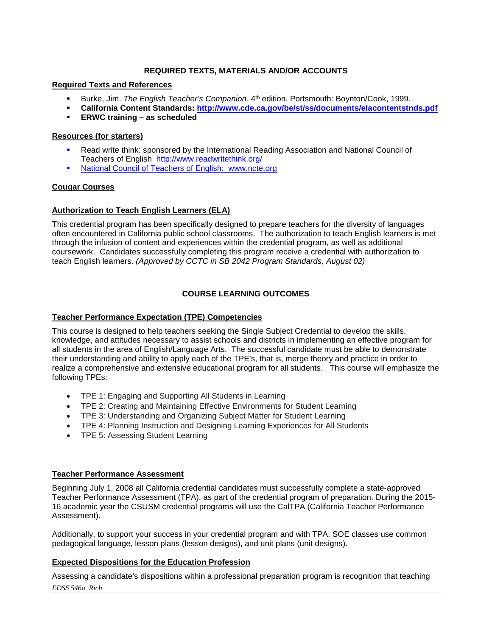## **REQUIRED TEXTS, MATERIALS AND/OR ACCOUNTS**

## **Required Texts and References**

- **Burke, Jim.** *The English Teacher's Companion.* 4<sup>th</sup> edition. Portsmouth: Boynton/Cook, 1999.
- **California Content Standards:<http://www.cde.ca.gov/be/st/ss/documents/elacontentstnds.pdf>**
- **ERWC training – as scheduled**

## **Resources (for starters)**

- Read write think: sponsored by the International Reading Association and National Council of Teachers of English <http://www.readwritethink.org/>
- National Council of Teachers of English: [www.ncte.org](http://www.ncte.org/)

#### <span id="page-3-0"></span>**Cougar Courses**

## <span id="page-3-2"></span>**Authorization to Teach English Learners (ELA)**

This credential program has been specifically designed to prepare teachers for the diversity of languages often encountered in California public school classrooms. The authorization to teach English learners is met through the infusion of content and experiences within the credential program, as well as additional coursework. Candidates successfully completing this program receive a credential with authorization to teach English learners. *(Approved by CCTC in SB 2042 Program Standards, August 02)*

## **COURSE LEARNING OUTCOMES**

## <span id="page-3-1"></span>**Teacher Performance Expectation (TPE) Competencies**

This course is designed to help teachers seeking the Single Subject Credential to develop the skills, knowledge, and attitudes necessary to assist schools and districts in implementing an effective program for all students in the area of English/Language Arts. The successful candidate must be able to demonstrate their understanding and ability to apply each of the TPE's, that is, merge theory and practice in order to realize a comprehensive and extensive educational program for all students. This course will emphasize the following TPEs:

- TPE 1: Engaging and Supporting All Students in Learning
- TPE 2: Creating and Maintaining Effective Environments for Student Learning
- TPE 3: Understanding and Organizing Subject Matter for Student Learning
- TPE 4: Planning Instruction and Designing Learning Experiences for All Students
- TPE 5: Assessing Student Learning

#### <span id="page-3-3"></span>**Teacher Performance Assessment**

Beginning July 1, 2008 all California credential candidates must successfully complete a state-approved Teacher Performance Assessment (TPA), as part of the credential program of preparation. During the 2015- 16 academic year the CSUSM credential programs will use the CalTPA (California Teacher Performance Assessment).

Additionally, to support your success in your credential program and with TPA, SOE classes use common pedagogical language, lesson plans (lesson designs), and unit plans (unit designs).

#### <span id="page-3-4"></span>**Expected Dispositions for the Education Profession**

*EDSS 546a Rich* Assessing a candidate's dispositions within a professional preparation program is recognition that teaching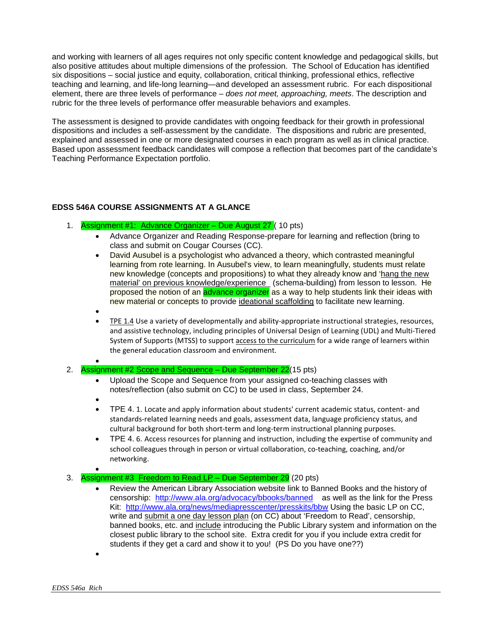and working with learners of all ages requires not only specific content knowledge and pedagogical skills, but also positive attitudes about multiple dimensions of the profession. The School of Education has identified six dispositions – social justice and equity, collaboration, critical thinking, professional ethics, reflective teaching and learning, and life-long learning—and developed an assessment rubric. For each dispositional element, there are three levels of performance – *does not meet, approaching, meets*. The description and rubric for the three levels of performance offer measurable behaviors and examples.

The assessment is designed to provide candidates with ongoing feedback for their growth in professional dispositions and includes a self-assessment by the candidate. The dispositions and rubric are presented, explained and assessed in one or more designated courses in each program as well as in clinical practice. Based upon assessment feedback candidates will compose a reflection that becomes part of the candidate's Teaching Performance Expectation portfolio.

## **EDSS 546A COURSE ASSIGNMENTS AT A GLANCE**

- 1. Assignment #1: Advance Organizer Due August 27 ( 10 pts)
	- Advance Organizer and Reading Response-prepare for learning and reflection (bring to class and submit on Cougar Courses (CC).
	- David Ausubel is a psychologist who advanced a theory, which contrasted meaningful learning from rote learning. In Ausubel's view, to learn meaningfully, students must relate new knowledge (concepts and propositions) to what they already know and 'hang the new material' on previous knowledge/experience (schema-building) from lesson to lesson. He proposed the notion of an **advance organizer** as a way to help students link their ideas with new material or concepts to provide ideational scaffolding to facilitate new learning.
	- •
	- TPE 1.4 Use a variety of developmentally and ability-appropriate instructional strategies, resources, and assistive technology, including principles of Universal Design of Learning (UDL) and Multi-Tiered System of Supports (MTSS) to support access to the curriculum for a wide range of learners within the general education classroom and environment.
- 2. Assignment #2 Scope and Sequence – Due September 22(15 pts)
	- Upload the Scope and Sequence from your assigned co-teaching classes with notes/reflection (also submit on CC) to be used in class, September 24.
	- - TPE 4. 1. Locate and apply information about students' current academic status, content- and standards-related learning needs and goals, assessment data, language proficiency status, and cultural background for both short-term and long-term instructional planning purposes.
	- TPE 4. 6. Access resources for planning and instruction, including the expertise of community and school colleagues through in person or virtual collaboration, co-teaching, coaching, and/or networking.

#### • 3. Assignment #3 Freedom to Read LP – Due September  $29$  (20 pts)

- Review the American Library Association website link to Banned Books and the history of censorship: <http://www.ala.org/advocacy/bbooks/banned>as well as the link for the Press Kit: <http://www.ala.org/news/mediapresscenter/presskits/bbw> Using the basic LP on CC, write and submit a one day lesson plan (on CC) about 'Freedom to Read', censorship, banned books, etc. and include introducing the Public Library system and information on the closest public library to the school site. Extra credit for you if you include extra credit for students if they get a card and show it to you! (PS Do you have one??)
- •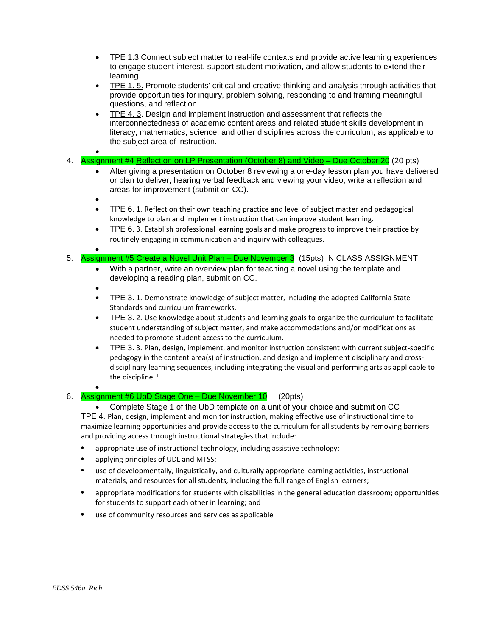- TPE 1.3 Connect subject matter to real-life contexts and provide active learning experiences to engage student interest, support student motivation, and allow students to extend their learning.
- TPE 1. 5. Promote students' critical and creative thinking and analysis through activities that provide opportunities for inquiry, problem solving, responding to and framing meaningful questions, and reflection
- TPE 4. 3. Design and implement instruction and assessment that reflects the interconnectedness of academic content areas and related student skills development in literacy, mathematics, science, and other disciplines across the curriculum, as applicable to the subject area of instruction.
- 4. Assignment #4 Reflection on LP Presentation (October 8) and Video – Due October 20 (20 pts)
	- After giving a presentation on October 8 reviewing a one-day lesson plan you have delivered or plan to deliver, hearing verbal feedback and viewing your video, write a reflection and areas for improvement (submit on CC).
	- •
	- TPE 6. 1. Reflect on their own teaching practice and level of subject matter and pedagogical knowledge to plan and implement instruction that can improve student learning.
	- TPE 6. 3. Establish professional learning goals and make progress to improve their practice by routinely engaging in communication and inquiry with colleagues.

• 5. Assignment #5 Create a Novel Unit Plan – Due November 3 (15pts) IN CLASS ASSIGNMENT

- With a partner, write an overview plan for teaching a novel using the template and developing a reading plan, submit on CC.
- •
- TPE 3. 1. Demonstrate knowledge of subject matter, including the adopted California State Standards and curriculum frameworks.
- TPE 3. 2. Use knowledge about students and learning goals to organize the curriculum to facilitate student understanding of subject matter, and make accommodations and/or modifications as needed to promote student access to the curriculum.
- TPE 3. 3. Plan, design, implement, and monitor instruction consistent with current subject-specific pedagogy in the content area(s) of instruction, and design and implement disciplinary and crossdisciplinary learning sequences, including integrating the visual and performing arts as applicable to the discipline. $1$

#### • 6. Assignment #6 UbD Stage One – Due November 10 (20pts)

• Complete Stage 1 of the UbD template on a unit of your choice and submit on CC TPE 4. Plan, design, implement and monitor instruction, making effective use of instructional time to maximize learning opportunities and provide access to the curriculum for all students by removing barriers and providing access through instructional strategies that include:

- appropriate use of instructional technology, including assistive technology;
- applying principles of UDL and MTSS;
- use of developmentally, linguistically, and culturally appropriate learning activities, instructional materials, and resources for all students, including the full range of English learners;
- appropriate modifications for students with disabilities in the general education classroom; opportunities for students to support each other in learning; and
- use of community resources and services as applicable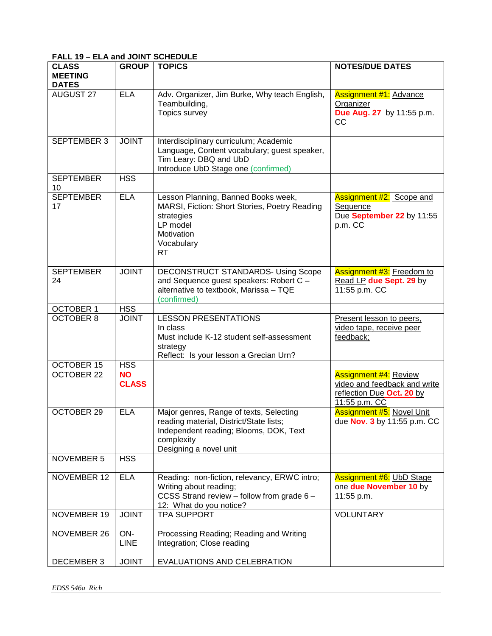# <span id="page-6-0"></span>**FALL 19 – ELA and JOINT SCHEDULE**

| <b>CLASS</b>              | <b>GROUP</b>              | <b>TOPICS</b>                                                                                                                                                        | <b>NOTES/DUE DATES</b>                                                                                     |
|---------------------------|---------------------------|----------------------------------------------------------------------------------------------------------------------------------------------------------------------|------------------------------------------------------------------------------------------------------------|
| <b>MEETING</b>            |                           |                                                                                                                                                                      |                                                                                                            |
| <b>DATES</b><br>AUGUST 27 | <b>ELA</b>                | Adv. Organizer, Jim Burke, Why teach English,<br>Teambuilding,<br>Topics survey                                                                                      | <b>Assignment #1: Advance</b><br>Organizer<br>Due Aug. 27 by 11:55 p.m.<br><b>CC</b>                       |
| <b>SEPTEMBER 3</b>        | <b>JOINT</b>              | Interdisciplinary curriculum; Academic<br>Language, Content vocabulary; guest speaker,<br>Tim Leary: DBQ and UbD<br>Introduce UbD Stage one (confirmed)              |                                                                                                            |
| <b>SEPTEMBER</b><br>10    | <b>HSS</b>                |                                                                                                                                                                      |                                                                                                            |
| <b>SEPTEMBER</b><br>17    | <b>ELA</b>                | Lesson Planning, Banned Books week,<br>MARSI, Fiction: Short Stories, Poetry Reading<br>strategies<br>LP model<br>Motivation<br>Vocabulary<br><b>RT</b>              | <b>Assignment #2: Scope and</b><br>Sequence<br>Due September 22 by 11:55<br>p.m. CC                        |
| <b>SEPTEMBER</b><br>24    | <b>JOINT</b>              | <b>DECONSTRUCT STANDARDS- Using Scope</b><br>and Sequence guest speakers: Robert C -<br>alternative to textbook, Marissa - TQE<br>(confirmed)                        | <b>Assignment #3:</b> Freedom to<br>Read LP due Sept. 29 by<br>11:55 p.m. CC                               |
| <b>OCTOBER 1</b>          | <b>HSS</b>                |                                                                                                                                                                      |                                                                                                            |
| <b>OCTOBER 8</b>          | <b>JOINT</b>              | <b>LESSON PRESENTATIONS</b><br>In class<br>Must include K-12 student self-assessment<br>strategy<br>Reflect: Is your lesson a Grecian Urn?                           | Present lesson to peers,<br>video tape, receive peer<br>feedback;                                          |
| <b>OCTOBER 15</b>         | <b>HSS</b>                |                                                                                                                                                                      |                                                                                                            |
| <b>OCTOBER 22</b>         | <b>NO</b><br><b>CLASS</b> |                                                                                                                                                                      | <b>Assignment #4: Review</b><br>video and feedback and write<br>reflection Due Oct. 20 by<br>11:55 p.m. CC |
| <b>OCTOBER 29</b>         | <b>ELA</b>                | Major genres, Range of texts, Selecting<br>reading material, District/State lists;<br>Independent reading; Blooms, DOK, Text<br>complexity<br>Designing a novel unit | <b>Assignment #5: Novel Unit</b><br>due Nov. 3 by 11:55 p.m. CC                                            |
| NOVEMBER 5                | <b>HSS</b>                |                                                                                                                                                                      |                                                                                                            |
| NOVEMBER 12               | <b>ELA</b>                | Reading: non-fiction, relevancy, ERWC intro;<br>Writing about reading;<br>CCSS Strand review - follow from grade 6 -<br>12: What do you notice?                      | <b>Assignment #6: UbD Stage</b><br>one due November 10 by<br>11:55 p.m.                                    |
| NOVEMBER 19               | <b>JOINT</b>              | <b>TPA SUPPORT</b>                                                                                                                                                   | <b>VOLUNTARY</b>                                                                                           |
| NOVEMBER 26               | ON-<br><b>LINE</b>        | Processing Reading; Reading and Writing<br>Integration; Close reading                                                                                                |                                                                                                            |
| <b>DECEMBER 3</b>         | <b>JOINT</b>              | EVALUATIONS AND CELEBRATION                                                                                                                                          |                                                                                                            |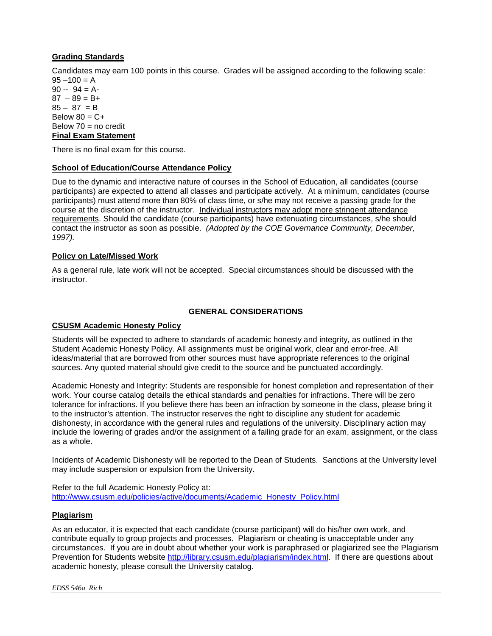## <span id="page-7-6"></span>**Grading Standards**

Candidates may earn 100 points in this course. Grades will be assigned according to the following scale:  $95 - 100 = A$ 

 $90 - 94 = A$  $87 - 89 = B +$  $85 - 87 = B$ Below  $80 = C +$ Below  $70 =$  no credit **Final Exam Statement**

<span id="page-7-0"></span>There is no final exam for this course.

## <span id="page-7-1"></span>**School of Education/Course Attendance Policy**

Due to the dynamic and interactive nature of courses in the School of Education, all candidates (course participants) are expected to attend all classes and participate actively. At a minimum, candidates (course participants) must attend more than 80% of class time, or s/he may not receive a passing grade for the course at the discretion of the instructor. Individual instructors may adopt more stringent attendance requirements. Should the candidate (course participants) have extenuating circumstances, s/he should contact the instructor as soon as possible. *(Adopted by the COE Governance Community, December, 1997).*

## <span id="page-7-2"></span>**Policy on Late/Missed Work**

As a general rule, late work will not be accepted. Special circumstances should be discussed with the instructor.

## **GENERAL CONSIDERATIONS**

#### <span id="page-7-4"></span><span id="page-7-3"></span>**CSUSM Academic Honesty Policy**

Students will be expected to adhere to standards of academic honesty and integrity, as outlined in the Student Academic Honesty Policy. All assignments must be original work, clear and error-free. All ideas/material that are borrowed from other sources must have appropriate references to the original sources. Any quoted material should give credit to the source and be punctuated accordingly.

Academic Honesty and Integrity: Students are responsible for honest completion and representation of their work. Your course catalog details the ethical standards and penalties for infractions. There will be zero tolerance for infractions. If you believe there has been an infraction by someone in the class, please bring it to the instructor's attention. The instructor reserves the right to discipline any student for academic dishonesty, in accordance with the general rules and regulations of the university. Disciplinary action may include the lowering of grades and/or the assignment of a failing grade for an exam, assignment, or the class as a whole.

Incidents of Academic Dishonesty will be reported to the Dean of Students. Sanctions at the University level may include suspension or expulsion from the University.

Refer to the full Academic Honesty Policy at: [http://www.csusm.edu/policies/active/documents/Academic\\_Honesty\\_Policy.html](http://www.csusm.edu/policies/active/documents/Academic_Honesty_Policy.html)

## <span id="page-7-5"></span>**Plagiarism**

As an educator, it is expected that each candidate (course participant) will do his/her own work, and contribute equally to group projects and processes. Plagiarism or cheating is unacceptable under any circumstances. If you are in doubt about whether your work is paraphrased or plagiarized see the Plagiarism Prevention for Students website [http://library.csusm.edu/plagiarism/index.html.](http://library.csusm.edu/plagiarism/index.html) If there are questions about academic honesty, please consult the University catalog.